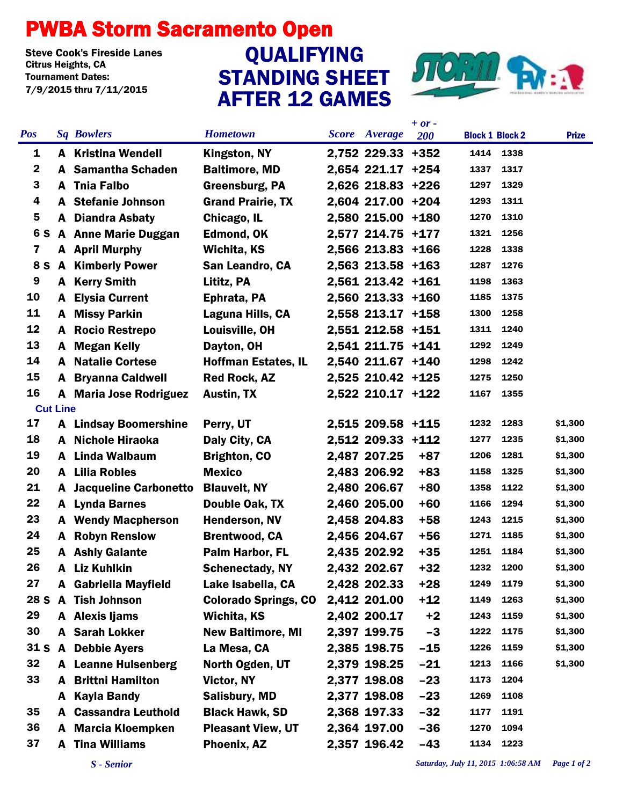## PWBA Storm Sacramento Open

Steve Cook's Fireside Lanes<br>Citrus Heights. CA Tournament Dates: 7/9/2015 thru 7/11/2015

## STANDING SHEET AFTER 12 GAMES Steve Cook's Fireside Lanes<br>Citrus Heights, CA CAN CONTROLLEYING



|                 |              |                               |                             |                      | $+ or -$ |                        |      |              |
|-----------------|--------------|-------------------------------|-----------------------------|----------------------|----------|------------------------|------|--------------|
| <b>Pos</b>      |              | <b>Sq Bowlers</b>             | <b>Hometown</b>             | <b>Score</b> Average | 200      | <b>Block 1 Block 2</b> |      | <b>Prize</b> |
| 1               |              | <b>A</b> Kristina Wendell     | <b>Kingston, NY</b>         | 2,752 229.33 +352    |          | 1414                   | 1338 |              |
| $\mathbf 2$     |              | A Samantha Schaden            | <b>Baltimore, MD</b>        | 2,654 221.17 +254    |          | 1337                   | 1317 |              |
| 3               | A            | <b>Tnia Falbo</b>             | Greensburg, PA              | 2,626 218.83 +226    |          | 1297                   | 1329 |              |
| 4               | A            | <b>Stefanie Johnson</b>       | <b>Grand Prairie, TX</b>    | 2,604 217.00 +204    |          | 1293                   | 1311 |              |
| 5               | A            | <b>Diandra Asbaty</b>         | Chicago, IL                 | 2,580 215.00 +180    |          | 1270                   | 1310 |              |
| 6 S             |              | <b>A</b> Anne Marie Duggan    | <b>Edmond, OK</b>           | 2,577 214.75 +177    |          | 1321                   | 1256 |              |
| $\mathbf{7}$    |              | A April Murphy                | Wichita, KS                 | 2,566 213.83 +166    |          | 1228                   | 1338 |              |
| 8 S             |              | <b>A</b> Kimberly Power       | San Leandro, CA             | 2,563 213.58 +163    |          | 1287                   | 1276 |              |
| 9               |              | <b>A</b> Kerry Smith          | Lititz, PA                  | 2,561 213.42 +161    |          | 1198                   | 1363 |              |
| 10              | A            | <b>Elysia Current</b>         | Ephrata, PA                 | 2,560 213.33 +160    |          | 1185                   | 1375 |              |
| 11              | A            | <b>Missy Parkin</b>           | Laguna Hills, CA            | 2,558 213.17 +158    |          | 1300                   | 1258 |              |
| 12              | A            | <b>Rocio Restrepo</b>         | Louisville, OH              | 2,551 212.58 +151    |          | 1311                   | 1240 |              |
| 13              | A            | <b>Megan Kelly</b>            | Dayton, OH                  | 2,541 211.75 +141    |          | 1292                   | 1249 |              |
| 14              | A            | <b>Natalie Cortese</b>        | <b>Hoffman Estates, IL</b>  | 2,540 211.67 +140    |          | 1298                   | 1242 |              |
| 15              | A            | <b>Bryanna Caldwell</b>       | <b>Red Rock, AZ</b>         | 2,525 210.42 +125    |          | 1275                   | 1250 |              |
| 16              |              | <b>A</b> Maria Jose Rodriguez | <b>Austin, TX</b>           | 2,522 210.17 +122    |          | 1167                   | 1355 |              |
| <b>Cut Line</b> |              |                               |                             |                      |          |                        |      |              |
| 17              |              | <b>A</b> Lindsay Boomershine  | Perry, UT                   | 2,515 209.58 +115    |          | 1232                   | 1283 | \$1,300      |
| 18              |              | A Nichole Hiraoka             | Daly City, CA               | 2,512 209.33 +112    |          | 1277                   | 1235 | \$1,300      |
| 19              |              | A Linda Walbaum               | <b>Brighton, CO</b>         | 2,487 207.25         | $+87$    | 1206                   | 1281 | \$1,300      |
| 20              | A            | <b>Lilia Robles</b>           | <b>Mexico</b>               | 2,483 206.92         | $+83$    | 1158                   | 1325 | \$1,300      |
| 21              | A            | <b>Jacqueline Carbonetto</b>  | <b>Blauvelt, NY</b>         | 2,480 206.67         | $+80$    | 1358                   | 1122 | \$1,300      |
| 22              |              | A Lynda Barnes                | Double Oak, TX              | 2,460 205.00         | $+60$    | 1166                   | 1294 | \$1,300      |
| 23              | A            | <b>Wendy Macpherson</b>       | <b>Henderson, NV</b>        | 2,458 204.83         | $+58$    | 1243                   | 1215 | \$1,300      |
| 24              | A            | <b>Robyn Renslow</b>          | <b>Brentwood, CA</b>        | 2,456 204.67         | $+56$    | 1271                   | 1185 | \$1,300      |
| 25              | A            | <b>Ashly Galante</b>          | Palm Harbor, FL             | 2,435 202.92         | $+35$    | 1251                   | 1184 | \$1,300      |
| 26              | A            | <b>Liz Kuhlkin</b>            | <b>Schenectady, NY</b>      | 2,432 202.67         | $+32$    | 1232                   | 1200 | \$1,300      |
| 27              |              | A Gabriella Mayfield          | Lake Isabella, CA           | 2,428 202.33         | $+28$    | 1249                   | 1179 | \$1,300      |
| <b>28 S</b>     | $\mathbf{A}$ | <b>Tish Johnson</b>           | <b>Colorado Springs, CO</b> | 2,412 201.00         | $+12$    | 1149                   | 1263 | \$1,300      |
| 29              |              | A Alexis Ijams                | Wichita, KS                 | 2,402 200.17         | $+2$     | 1243                   | 1159 | \$1,300      |
| 30              |              | <b>A</b> Sarah Lokker         | <b>New Baltimore, MI</b>    | 2,397 199.75         | $-3$     | 1222                   | 1175 | \$1,300      |
| 31 S            | $\mathbf{A}$ | <b>Debbie Ayers</b>           | La Mesa, CA                 | 2,385 198.75         | $-15$    | 1226                   | 1159 | \$1,300      |
| 32              |              | <b>A</b> Leanne Hulsenberg    | North Ogden, UT             | 2,379 198.25         | $-21$    | 1213                   | 1166 | \$1,300      |
| 33              | A            | <b>Brittni Hamilton</b>       | Victor, NY                  | 2,377 198.08         | $-23$    | 1173                   | 1204 |              |
|                 | A            | <b>Kayla Bandy</b>            | <b>Salisbury, MD</b>        | 2,377 198.08         | $-23$    | 1269                   | 1108 |              |
| 35              | A            | <b>Cassandra Leuthold</b>     | <b>Black Hawk, SD</b>       | 2,368 197.33         | $-32$    | 1177                   | 1191 |              |
| 36              | A            | <b>Marcia Kloempken</b>       | <b>Pleasant View, UT</b>    | 2,364 197.00         | $-36$    | 1270                   | 1094 |              |
| 37              | A            | <b>Tina Williams</b>          | Phoenix, AZ                 | 2,357 196.42         | $-43$    | 1134                   | 1223 |              |